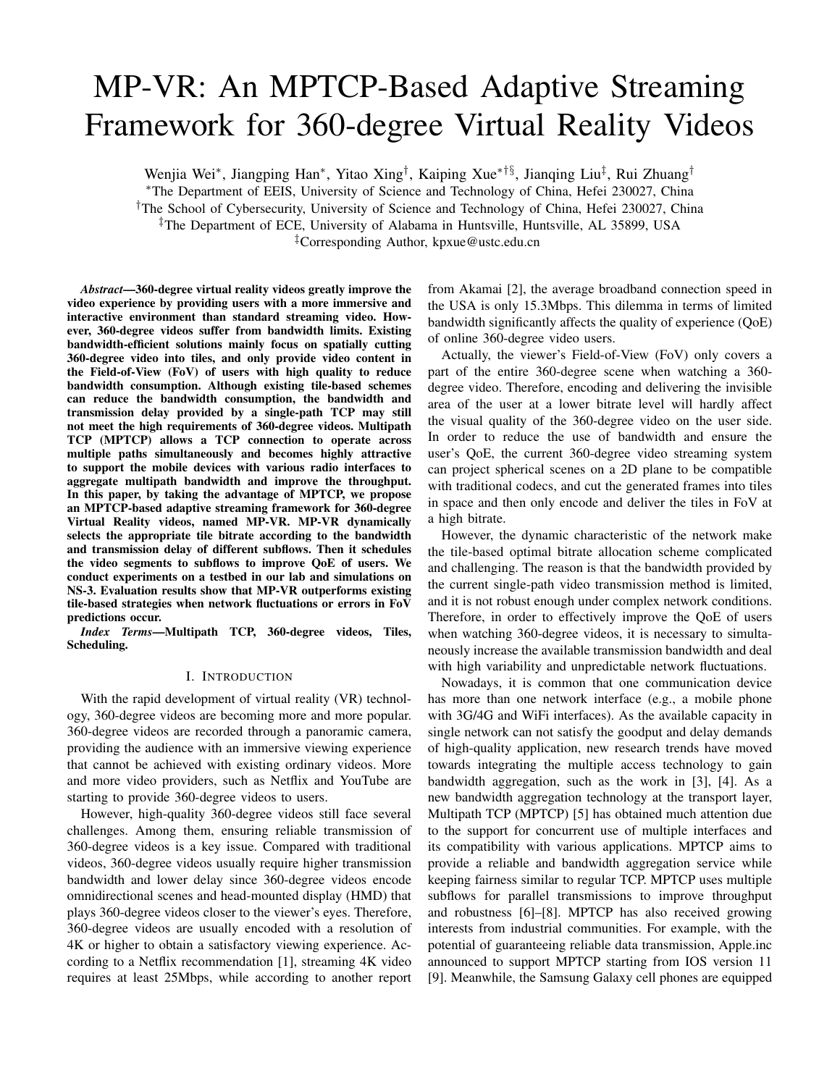# MP-VR: An MPTCP-Based Adaptive Streaming Framework for 360-degree Virtual Reality Videos

Wenjia Wei<sup>∗</sup>, Jiangping Han<sup>∗</sup>, Yitao Xing<sup>†</sup>, Kaiping Xue<sup>∗†§</sup>, Jianqing Liu<sup>‡</sup>, Rui Zhuang<sup>†</sup>

<sup>∗</sup>The Department of EEIS, University of Science and Technology of China, Hefei 230027, China

†The School of Cybersecurity, University of Science and Technology of China, Hefei 230027, China

‡The Department of ECE, University of Alabama in Huntsville, Huntsville, AL 35899, USA

‡Corresponding Author, kpxue@ustc.edu.cn

*Abstract*—360-degree virtual reality videos greatly improve the video experience by providing users with a more immersive and interactive environment than standard streaming video. However, 360-degree videos suffer from bandwidth limits. Existing bandwidth-efficient solutions mainly focus on spatially cutting 360-degree video into tiles, and only provide video content in the Field-of-View (FoV) of users with high quality to reduce bandwidth consumption. Although existing tile-based schemes can reduce the bandwidth consumption, the bandwidth and transmission delay provided by a single-path TCP may still not meet the high requirements of 360-degree videos. Multipath TCP (MPTCP) allows a TCP connection to operate across multiple paths simultaneously and becomes highly attractive to support the mobile devices with various radio interfaces to aggregate multipath bandwidth and improve the throughput. In this paper, by taking the advantage of MPTCP, we propose an MPTCP-based adaptive streaming framework for 360-degree Virtual Reality videos, named MP-VR. MP-VR dynamically selects the appropriate tile bitrate according to the bandwidth and transmission delay of different subflows. Then it schedules the video segments to subflows to improve QoE of users. We conduct experiments on a testbed in our lab and simulations on NS-3. Evaluation results show that MP-VR outperforms existing tile-based strategies when network fluctuations or errors in FoV predictions occur.

*Index Terms*—Multipath TCP, 360-degree videos, Tiles, Scheduling.

#### I. INTRODUCTION

With the rapid development of virtual reality (VR) technology, 360-degree videos are becoming more and more popular. 360-degree videos are recorded through a panoramic camera, providing the audience with an immersive viewing experience that cannot be achieved with existing ordinary videos. More and more video providers, such as Netflix and YouTube are starting to provide 360-degree videos to users.

However, high-quality 360-degree videos still face several challenges. Among them, ensuring reliable transmission of 360-degree videos is a key issue. Compared with traditional videos, 360-degree videos usually require higher transmission bandwidth and lower delay since 360-degree videos encode omnidirectional scenes and head-mounted display (HMD) that plays 360-degree videos closer to the viewer's eyes. Therefore, 360-degree videos are usually encoded with a resolution of 4K or higher to obtain a satisfactory viewing experience. According to a Netflix recommendation [1], streaming 4K video requires at least 25Mbps, while according to another report from Akamai [2], the average broadband connection speed in the USA is only 15.3Mbps. This dilemma in terms of limited bandwidth significantly affects the quality of experience (QoE) of online 360-degree video users.

Actually, the viewer's Field-of-View (FoV) only covers a part of the entire 360-degree scene when watching a 360 degree video. Therefore, encoding and delivering the invisible area of the user at a lower bitrate level will hardly affect the visual quality of the 360-degree video on the user side. In order to reduce the use of bandwidth and ensure the user's QoE, the current 360-degree video streaming system can project spherical scenes on a 2D plane to be compatible with traditional codecs, and cut the generated frames into tiles in space and then only encode and deliver the tiles in FoV at a high bitrate.

However, the dynamic characteristic of the network make the tile-based optimal bitrate allocation scheme complicated and challenging. The reason is that the bandwidth provided by the current single-path video transmission method is limited, and it is not robust enough under complex network conditions. Therefore, in order to effectively improve the QoE of users when watching 360-degree videos, it is necessary to simultaneously increase the available transmission bandwidth and deal with high variability and unpredictable network fluctuations.

Nowadays, it is common that one communication device has more than one network interface (e.g., a mobile phone with 3G/4G and WiFi interfaces). As the available capacity in single network can not satisfy the goodput and delay demands of high-quality application, new research trends have moved towards integrating the multiple access technology to gain bandwidth aggregation, such as the work in [3], [4]. As a new bandwidth aggregation technology at the transport layer, Multipath TCP (MPTCP) [5] has obtained much attention due to the support for concurrent use of multiple interfaces and its compatibility with various applications. MPTCP aims to provide a reliable and bandwidth aggregation service while keeping fairness similar to regular TCP. MPTCP uses multiple subflows for parallel transmissions to improve throughput and robustness [6]–[8]. MPTCP has also received growing interests from industrial communities. For example, with the potential of guaranteeing reliable data transmission, Apple.inc announced to support MPTCP starting from IOS version 11 [9]. Meanwhile, the Samsung Galaxy cell phones are equipped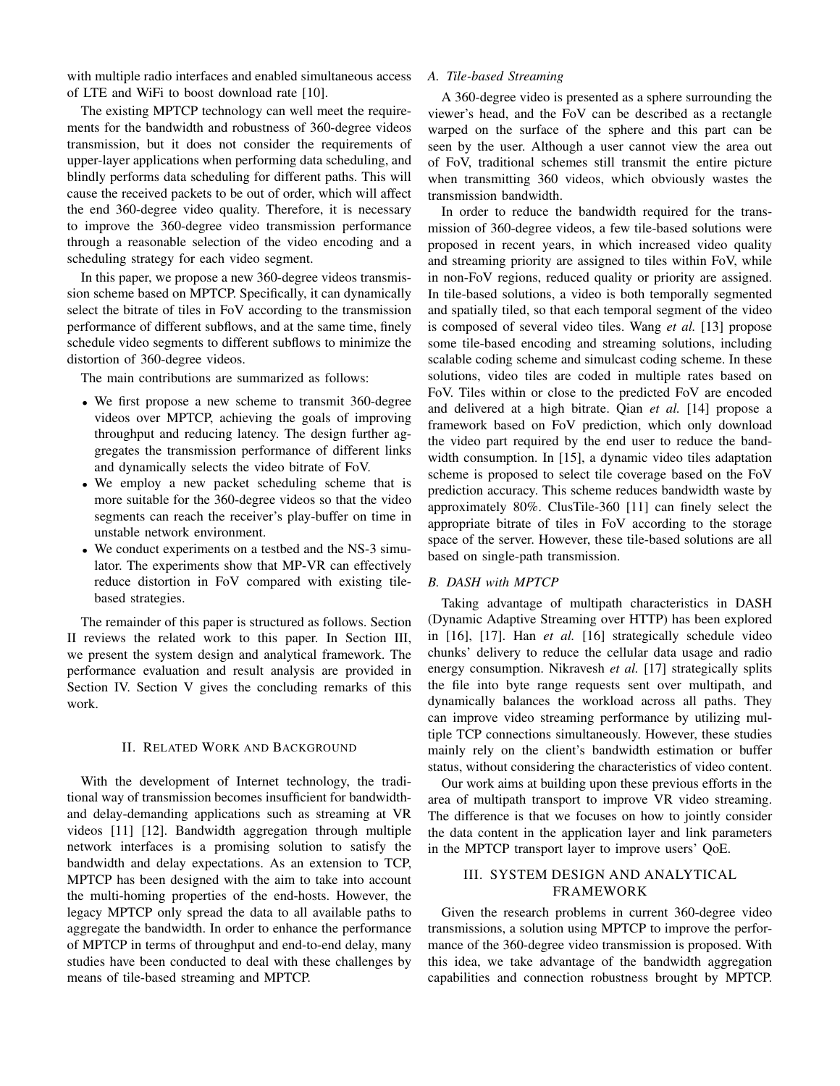with multiple radio interfaces and enabled simultaneous access of LTE and WiFi to boost download rate [10].

The existing MPTCP technology can well meet the requirements for the bandwidth and robustness of 360-degree videos transmission, but it does not consider the requirements of upper-layer applications when performing data scheduling, and blindly performs data scheduling for different paths. This will cause the received packets to be out of order, which will affect the end 360-degree video quality. Therefore, it is necessary to improve the 360-degree video transmission performance through a reasonable selection of the video encoding and a scheduling strategy for each video segment.

In this paper, we propose a new 360-degree videos transmission scheme based on MPTCP. Specifically, it can dynamically select the bitrate of tiles in FoV according to the transmission performance of different subflows, and at the same time, finely schedule video segments to different subflows to minimize the distortion of 360-degree videos.

The main contributions are summarized as follows:

- We first propose a new scheme to transmit 360-degree videos over MPTCP, achieving the goals of improving throughput and reducing latency. The design further aggregates the transmission performance of different links and dynamically selects the video bitrate of FoV.
- We employ a new packet scheduling scheme that is more suitable for the 360-degree videos so that the video segments can reach the receiver's play-buffer on time in unstable network environment.
- We conduct experiments on a testbed and the NS-3 simulator. The experiments show that MP-VR can effectively reduce distortion in FoV compared with existing tilebased strategies.

The remainder of this paper is structured as follows. Section II reviews the related work to this paper. In Section III, we present the system design and analytical framework. The performance evaluation and result analysis are provided in Section IV. Section V gives the concluding remarks of this work.

#### II. RELATED WORK AND BACKGROUND

With the development of Internet technology, the traditional way of transmission becomes insufficient for bandwidthand delay-demanding applications such as streaming at VR videos [11] [12]. Bandwidth aggregation through multiple network interfaces is a promising solution to satisfy the bandwidth and delay expectations. As an extension to TCP, MPTCP has been designed with the aim to take into account the multi-homing properties of the end-hosts. However, the legacy MPTCP only spread the data to all available paths to aggregate the bandwidth. In order to enhance the performance of MPTCP in terms of throughput and end-to-end delay, many studies have been conducted to deal with these challenges by means of tile-based streaming and MPTCP.

## *A. Tile-based Streaming*

A 360-degree video is presented as a sphere surrounding the viewer's head, and the FoV can be described as a rectangle warped on the surface of the sphere and this part can be seen by the user. Although a user cannot view the area out of FoV, traditional schemes still transmit the entire picture when transmitting 360 videos, which obviously wastes the transmission bandwidth.

In order to reduce the bandwidth required for the transmission of 360-degree videos, a few tile-based solutions were proposed in recent years, in which increased video quality and streaming priority are assigned to tiles within FoV, while in non-FoV regions, reduced quality or priority are assigned. In tile-based solutions, a video is both temporally segmented and spatially tiled, so that each temporal segment of the video is composed of several video tiles. Wang *et al.* [13] propose some tile-based encoding and streaming solutions, including scalable coding scheme and simulcast coding scheme. In these solutions, video tiles are coded in multiple rates based on FoV. Tiles within or close to the predicted FoV are encoded and delivered at a high bitrate. Qian *et al.* [14] propose a framework based on FoV prediction, which only download the video part required by the end user to reduce the bandwidth consumption. In [15], a dynamic video tiles adaptation scheme is proposed to select tile coverage based on the FoV prediction accuracy. This scheme reduces bandwidth waste by approximately 80%. ClusTile-360 [11] can finely select the appropriate bitrate of tiles in FoV according to the storage space of the server. However, these tile-based solutions are all based on single-path transmission.

#### *B. DASH with MPTCP*

Taking advantage of multipath characteristics in DASH (Dynamic Adaptive Streaming over HTTP) has been explored in [16], [17]. Han *et al.* [16] strategically schedule video chunks' delivery to reduce the cellular data usage and radio energy consumption. Nikravesh *et al.* [17] strategically splits the file into byte range requests sent over multipath, and dynamically balances the workload across all paths. They can improve video streaming performance by utilizing multiple TCP connections simultaneously. However, these studies mainly rely on the client's bandwidth estimation or buffer status, without considering the characteristics of video content.

Our work aims at building upon these previous efforts in the area of multipath transport to improve VR video streaming. The difference is that we focuses on how to jointly consider the data content in the application layer and link parameters in the MPTCP transport layer to improve users' QoE.

## III. SYSTEM DESIGN AND ANALYTICAL FRAMEWORK

Given the research problems in current 360-degree video transmissions, a solution using MPTCP to improve the performance of the 360-degree video transmission is proposed. With this idea, we take advantage of the bandwidth aggregation capabilities and connection robustness brought by MPTCP.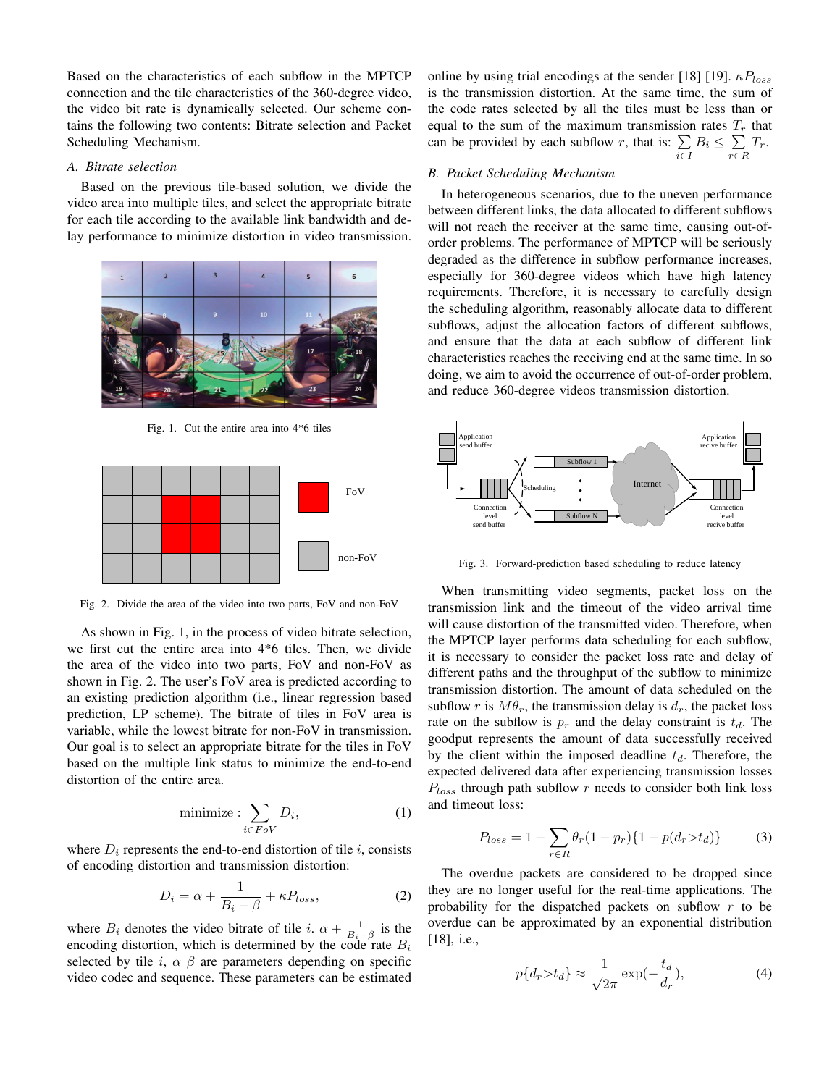Based on the characteristics of each subflow in the MPTCP connection and the tile characteristics of the 360-degree video, the video bit rate is dynamically selected. Our scheme contains the following two contents: Bitrate selection and Packet Scheduling Mechanism.

### *A. Bitrate selection*

Based on the previous tile-based solution, we divide the video area into multiple tiles, and select the appropriate bitrate for each tile according to the available link bandwidth and delay performance to minimize distortion in video transmission.



Fig. 1. Cut the entire area into 4\*6 tiles



Fig. 2. Divide the area of the video into two parts, FoV and non-FoV

As shown in Fig. 1, in the process of video bitrate selection, we first cut the entire area into 4\*6 tiles. Then, we divide the area of the video into two parts, FoV and non-FoV as shown in Fig. 2. The user's FoV area is predicted according to an existing prediction algorithm (i.e., linear regression based prediction, LP scheme). The bitrate of tiles in FoV area is variable, while the lowest bitrate for non-FoV in transmission. Our goal is to select an appropriate bitrate for the tiles in FoV based on the multiple link status to minimize the end-to-end distortion of the entire area.

$$
\text{minimize}: \sum_{i \in FoV} D_i,\tag{1}
$$

where  $D_i$  represents the end-to-end distortion of tile i, consists of encoding distortion and transmission distortion:

$$
D_i = \alpha + \frac{1}{B_i - \beta} + \kappa P_{loss},\tag{2}
$$

where  $B_i$  denotes the video bitrate of tile i.  $\alpha + \frac{1}{B_i - \beta}$  is the encoding distortion, which is determined by the code rate  $B_i$ selected by tile i,  $\alpha$   $\beta$  are parameters depending on specific video codec and sequence. These parameters can be estimated online by using trial encodings at the sender [18] [19].  $\kappa P_{loss}$ is the transmission distortion. At the same time, the sum of the code rates selected by all the tiles must be less than or equal to the sum of the maximum transmission rates  $T_r$  that can be provided by each subflow r, that is:  $\sum$  $\sum_{i\in I} B_i \leq \sum_{r\in I}$  $\sum_{r \in R} T_r$ .

#### *B. Packet Scheduling Mechanism*

In heterogeneous scenarios, due to the uneven performance between different links, the data allocated to different subflows will not reach the receiver at the same time, causing out-oforder problems. The performance of MPTCP will be seriously degraded as the difference in subflow performance increases, especially for 360-degree videos which have high latency requirements. Therefore, it is necessary to carefully design the scheduling algorithm, reasonably allocate data to different subflows, adjust the allocation factors of different subflows, and ensure that the data at each subflow of different link characteristics reaches the receiving end at the same time. In so doing, we aim to avoid the occurrence of out-of-order problem, and reduce 360-degree videos transmission distortion.



Fig. 3. Forward-prediction based scheduling to reduce latency

When transmitting video segments, packet loss on the transmission link and the timeout of the video arrival time will cause distortion of the transmitted video. Therefore, when the MPTCP layer performs data scheduling for each subflow, it is necessary to consider the packet loss rate and delay of different paths and the throughput of the subflow to minimize transmission distortion. The amount of data scheduled on the subflow r is  $M\theta_r$ , the transmission delay is  $d_r$ , the packet loss rate on the subflow is  $p_r$  and the delay constraint is  $t_d$ . The goodput represents the amount of data successfully received by the client within the imposed deadline  $t_d$ . Therefore, the expected delivered data after experiencing transmission losses  $P_{loss}$  through path subflow r needs to consider both link loss and timeout loss:

$$
P_{loss} = 1 - \sum_{r \in R} \theta_r (1 - p_r) \{ 1 - p(d_r > t_d) \}
$$
 (3)

The overdue packets are considered to be dropped since they are no longer useful for the real-time applications. The probability for the dispatched packets on subflow r to be overdue can be approximated by an exponential distribution [18], i.e.,

$$
p\{d_r > t_d\} \approx \frac{1}{\sqrt{2\pi}} \exp(-\frac{t_d}{d_r}),\tag{4}
$$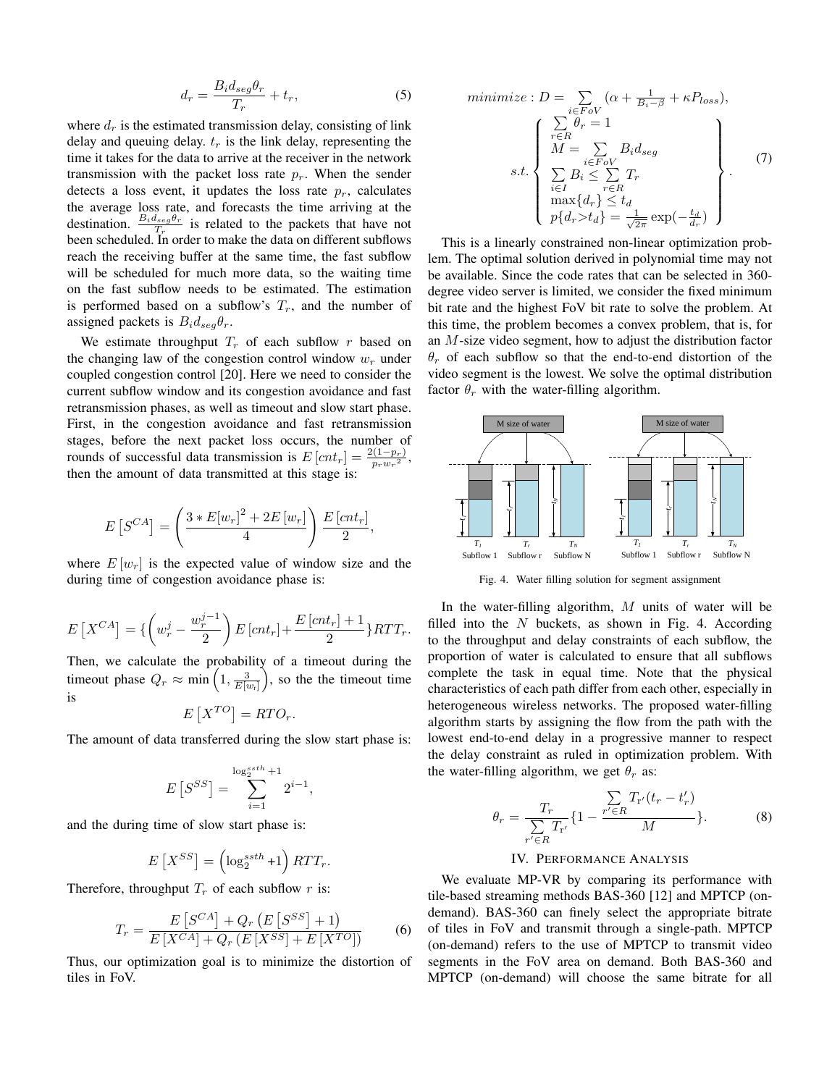$$
d_r = \frac{B_i d_{seg} \theta_r}{T_r} + t_r,\tag{5}
$$

where  $d_r$  is the estimated transmission delay, consisting of link delay and queuing delay.  $t_r$  is the link delay, representing the time it takes for the data to arrive at the receiver in the network transmission with the packet loss rate  $p_r$ . When the sender detects a loss event, it updates the loss rate  $p_r$ , calculates the average loss rate, and forecasts the time arriving at the destination.  $\frac{B_i d_{seg} \theta_r}{T_r}$  is related to the packets that have not been scheduled. In order to make the data on different subflows reach the receiving buffer at the same time, the fast subflow will be scheduled for much more data, so the waiting time on the fast subflow needs to be estimated. The estimation is performed based on a subflow's  $T_r$ , and the number of assigned packets is  $B_i d_{seg} \theta_r$ .

We estimate throughput  $T_r$  of each subflow r based on the changing law of the congestion control window  $w_r$  under coupled congestion control [20]. Here we need to consider the current subflow window and its congestion avoidance and fast retransmission phases, as well as timeout and slow start phase. First, in the congestion avoidance and fast retransmission stages, before the next packet loss occurs, the number of rounds of successful data transmission is  $E[cnt_r] = \frac{2(1-p_r)}{p_r w_r^2}$ , then the amount of data transmitted at this stage is:

$$
E\left[S^{CA}\right] = \left(\frac{3 * E[w_r]^2 + 2E[w_r]}{4}\right) \frac{E\left[cnt_r\right]}{2},
$$

where  $E[w_r]$  is the expected value of window size and the during time of congestion avoidance phase is:

$$
E\left[X^{CA}\right] = \left\{ \left(w_r^j - \frac{w_r^{j-1}}{2}\right) E\left[cnt_r\right] + \frac{E\left[cnt_r\right] + 1}{2}\right\} RTT_r.
$$

Then, we calculate the probability of a timeout during the timeout phase  $Q_r \approx \min\left(1, \frac{3}{E[w_r]}\right)$ , so the the timeout time is

$$
E[X^{TO}] = RTO_r.
$$

The amount of data transferred during the slow start phase is:

$$
E\left[S^{SS}\right] = \sum_{i=1}^{\log_2^{ssth} + 1} 2^{i-1},
$$

and the during time of slow start phase is:

$$
E[X^{SS}] = \left(\log_2^{ssth} + 1\right) RTT_r.
$$

Therefore, throughput  $T_r$  of each subflow r is:

$$
T_r = \frac{E\left[S^{CA}\right] + Q_r\left(E\left[S^{SS}\right] + 1\right)}{E\left[X^{CA}\right] + Q_r\left(E\left[X^{SS}\right] + E\left[X^{TO}\right]\right)}\tag{6}
$$

Thus, our optimization goal is to minimize the distortion of tiles in FoV.

$$
\begin{aligned}\n\text{minimize}: D &= \sum_{i \in FoV} (\alpha + \frac{1}{B_i - \beta} + \kappa P_{loss}), \\
\text{if } \sum_{r \in R} \theta_r &= 1 \\
M &= \sum_{i \in FoV} B_i d_{seg} \\
\text{s.t.} \quad \sum_{i \in I} B_i & \leq \sum_{r \in R} T_r \\
\max\{d_r\} &\leq t_d \\
p\{d_r > t_d\} &= \frac{1}{\sqrt{2\pi}} \exp(-\frac{t_d}{d_r})\n\end{aligned} \tag{7}
$$

This is a linearly constrained non-linear optimization problem. The optimal solution derived in polynomial time may not be available. Since the code rates that can be selected in 360 degree video server is limited, we consider the fixed minimum bit rate and the highest FoV bit rate to solve the problem. At this time, the problem becomes a convex problem, that is, for an M-size video segment, how to adjust the distribution factor  $\theta_r$  of each subflow so that the end-to-end distortion of the video segment is the lowest. We solve the optimal distribution factor  $\theta_r$  with the water-filling algorithm.



Fig. 4. Water filling solution for segment assignment

In the water-filling algorithm, M units of water will be filled into the  $N$  buckets, as shown in Fig. 4. According to the throughput and delay constraints of each subflow, the proportion of water is calculated to ensure that all subflows complete the task in equal time. Note that the physical characteristics of each path differ from each other, especially in heterogeneous wireless networks. The proposed water-filling algorithm starts by assigning the flow from the path with the lowest end-to-end delay in a progressive manner to respect the delay constraint as ruled in optimization problem. With the water-filling algorithm, we get  $\theta_r$  as:

$$
\theta_r = \frac{T_r}{\sum_{r' \in R} T_{r'}} \{ 1 - \frac{\sum_{r' \in R} T_{r'}(t_r - t'_r)}{M} \}.
$$
 (8)

### IV. PERFORMANCE ANALYSIS

We evaluate MP-VR by comparing its performance with tile-based streaming methods BAS-360 [12] and MPTCP (ondemand). BAS-360 can finely select the appropriate bitrate of tiles in FoV and transmit through a single-path. MPTCP (on-demand) refers to the use of MPTCP to transmit video segments in the FoV area on demand. Both BAS-360 and MPTCP (on-demand) will choose the same bitrate for all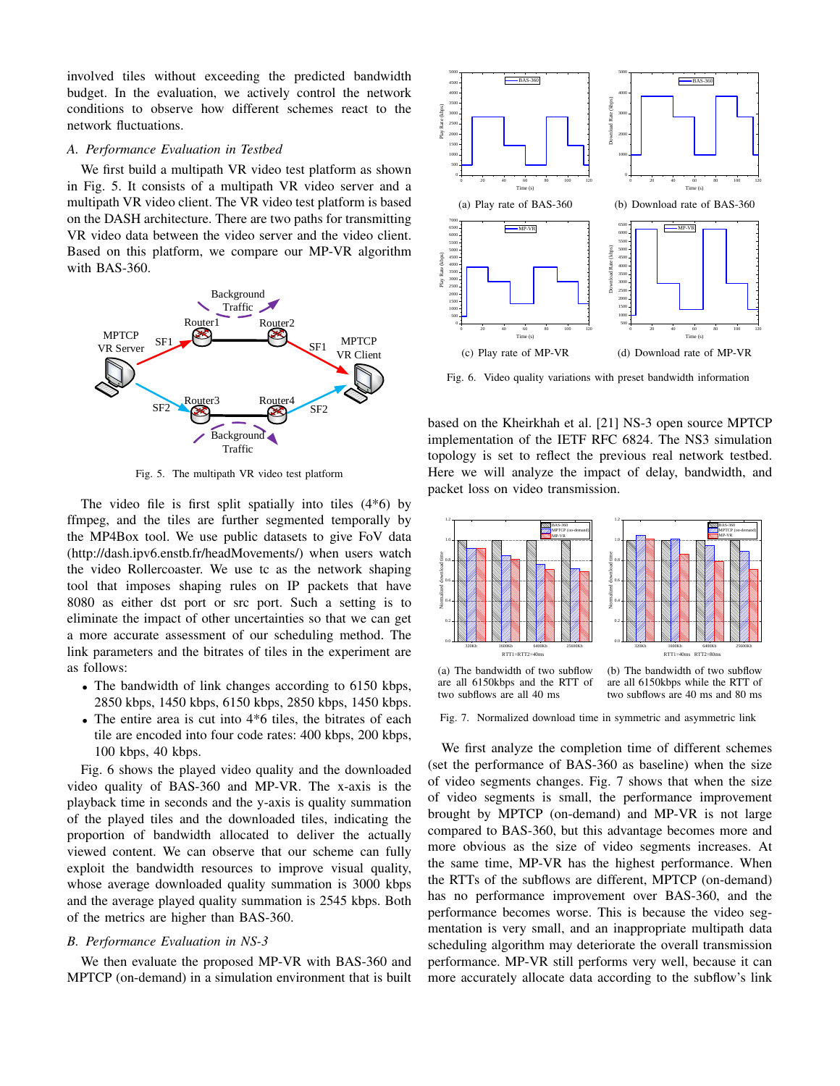involved tiles without exceeding the predicted bandwidth budget. In the evaluation, we actively control the network conditions to observe how different schemes react to the network fluctuations.

#### *A. Performance Evaluation in Testbed*

We first build a multipath VR video test platform as shown in Fig. 5. It consists of a multipath VR video server and a multipath VR video client. The VR video test platform is based on the DASH architecture. There are two paths for transmitting VR video data between the video server and the video client. Based on this platform, we compare our MP-VR algorithm with BAS-360.



Fig. 5. The multipath VR video test platform

The video file is first split spatially into tiles (4\*6) by ffmpeg, and the tiles are further segmented temporally by the MP4Box tool. We use public datasets to give FoV data (http://dash.ipv6.enstb.fr/headMovements/) when users watch the video Rollercoaster. We use tc as the network shaping tool that imposes shaping rules on IP packets that have 8080 as either dst port or src port. Such a setting is to eliminate the impact of other uncertainties so that we can get a more accurate assessment of our scheduling method. The link parameters and the bitrates of tiles in the experiment are as follows:

- The bandwidth of link changes according to 6150 kbps, 2850 kbps, 1450 kbps, 6150 kbps, 2850 kbps, 1450 kbps.
- The entire area is cut into  $4*6$  tiles, the bitrates of each tile are encoded into four code rates: 400 kbps, 200 kbps, 100 kbps, 40 kbps.

Fig. 6 shows the played video quality and the downloaded video quality of BAS-360 and MP-VR. The x-axis is the playback time in seconds and the y-axis is quality summation of the played tiles and the downloaded tiles, indicating the proportion of bandwidth allocated to deliver the actually viewed content. We can observe that our scheme can fully exploit the bandwidth resources to improve visual quality, whose average downloaded quality summation is 3000 kbps and the average played quality summation is 2545 kbps. Both of the metrics are higher than BAS-360.

### *B. Performance Evaluation in NS-3*

We then evaluate the proposed MP-VR with BAS-360 and MPTCP (on-demand) in a simulation environment that is built



Fig. 6. Video quality variations with preset bandwidth information

based on the Kheirkhah et al. [21] NS-3 open source MPTCP implementation of the IETF RFC 6824. The NS3 simulation topology is set to reflect the previous real network testbed. Here we will analyze the impact of delay, bandwidth, and packet loss on video transmission.



Fig. 7. Normalized download time in symmetric and asymmetric link

We first analyze the completion time of different schemes (set the performance of BAS-360 as baseline) when the size of video segments changes. Fig. 7 shows that when the size of video segments is small, the performance improvement brought by MPTCP (on-demand) and MP-VR is not large compared to BAS-360, but this advantage becomes more and more obvious as the size of video segments increases. At the same time, MP-VR has the highest performance. When the RTTs of the subflows are different, MPTCP (on-demand) has no performance improvement over BAS-360, and the performance becomes worse. This is because the video segmentation is very small, and an inappropriate multipath data scheduling algorithm may deteriorate the overall transmission performance. MP-VR still performs very well, because it can more accurately allocate data according to the subflow's link